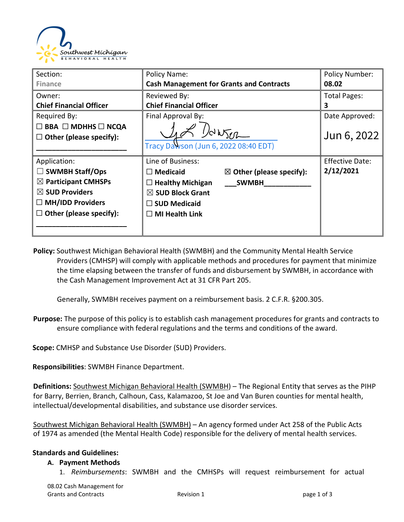

| Section:                            | Policy Name:                                           | <b>Policy Number:</b>  |
|-------------------------------------|--------------------------------------------------------|------------------------|
| <b>Finance</b>                      | <b>Cash Management for Grants and Contracts</b>        | 08.02                  |
| Owner:                              | Reviewed By:                                           | <b>Total Pages:</b>    |
| <b>Chief Financial Officer</b>      | <b>Chief Financial Officer</b>                         | 3                      |
| Required By:                        | Final Approval By:                                     | Date Approved:         |
| $\Box$ BBA $\Box$ MDHHS $\Box$ NCQA |                                                        |                        |
| $\Box$ Other (please specify):      | $\sqrt{d}b\sqrt{d}h$                                   | Jun 6, 2022            |
|                                     | Tracy Dawson (Jun 6, 2022 08:40 EDT)                   |                        |
| Application:                        | Line of Business:                                      | <b>Effective Date:</b> |
| $\Box$ SWMBH Staff/Ops              | $\boxtimes$ Other (please specify):<br>$\Box$ Medicaid | 2/12/2021              |
| $\boxtimes$ Participant CMHSPs      | $\Box$ Healthy Michigan<br><b>SWMBH</b>                |                        |
| $\boxtimes$ SUD Providers           | $\boxtimes$ SUD Block Grant                            |                        |
| $\Box$ MH/IDD Providers             | $\square$ SUD Medicaid                                 |                        |
| $\Box$ Other (please specify):      | $\Box$ MI Health Link                                  |                        |
|                                     |                                                        |                        |

**Policy:** Southwest Michigan Behavioral Health (SWMBH) and the Community Mental Health Service Providers (CMHSP) will comply with applicable methods and procedures for payment that minimize the time elapsing between the transfer of funds and disbursement by SWMBH, in accordance with the Cash Management Improvement Act at 31 CFR Part 205.

Generally, SWMBH receives payment on a reimbursement basis. 2 C.F.R. §200.305.

**Purpose:** The purpose of this policy is to establish cash management procedures for grants and contracts to ensure compliance with federal regulations and the terms and conditions of the award.

**Scope:** CMHSP and Substance Use Disorder (SUD) Providers.

**Responsibilities**: SWMBH Finance Department.

**Definitions:** Southwest Michigan Behavioral Health (SWMBH) – The Regional Entity that serves as the PIHP for Barry, Berrien, Branch, Calhoun, Cass, Kalamazoo, St Joe and Van Buren counties for mental health, intellectual/developmental disabilities, and substance use disorder services.

Southwest Michigan Behavioral Health (SWMBH) – An agency formed under Act 258 of the Public Acts of 1974 as amended (the Mental Health Code) responsible for the delivery of mental health services.

#### **Standards and Guidelines:**

#### **A. Payment Methods**

1. *Reimbursements*: SWMBH and the CMHSPs will request reimbursement for actual

08.02 Cash Management for Grants and Contracts **Revision 1 Revision 1 page 1 of 3**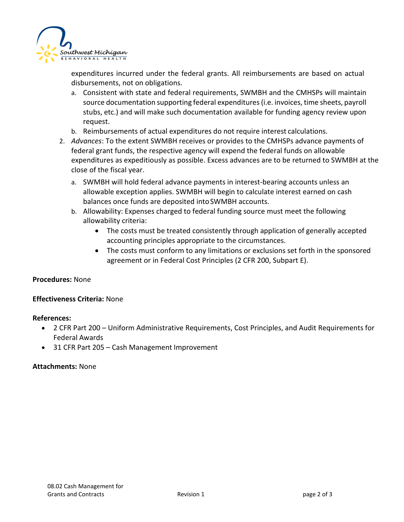

expenditures incurred under the federal grants. All reimbursements are based on actual disbursements, not on obligations.

- a. Consistent with state and federal requirements, SWMBH and the CMHSPs will maintain source documentation supporting federal expenditures (i.e. invoices, time sheets, payroll stubs, etc.) and will make such documentation available for funding agency review upon request.
- b. Reimbursements of actual expenditures do not require interest calculations.
- 2. *Advances*: To the extent SWMBH receives or provides to the CMHSPs advance payments of federal grant funds, the respective agency will expend the federal funds on allowable expenditures as expeditiously as possible. Excess advances are to be returned to SWMBH at the close of the fiscal year.
	- a. SWMBH will hold federal advance payments in interest-bearing accounts unless an allowable exception applies. SWMBH will begin to calculate interest earned on cash balances once funds are deposited intoSWMBH accounts.
	- b. Allowability: Expenses charged to federal funding source must meet the following allowability criteria:
		- The costs must be treated consistently through application of generally accepted accounting principles appropriate to the circumstances.
		- The costs must conform to any limitations or exclusions set forth in the sponsored agreement or in Federal Cost Principles (2 CFR 200, Subpart E).

#### **Procedures:** None

#### **Effectiveness Criteria:** None

#### **References:**

- 2 CFR Part 200 Uniform Administrative Requirements, Cost Principles, and Audit Requirements for Federal Awards
- 31 CFR Part 205 Cash Management Improvement

#### **Attachments:** None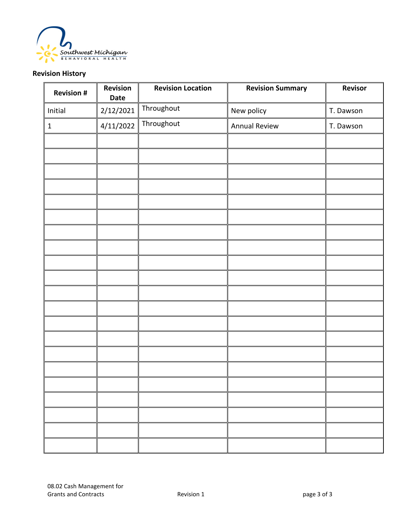

### **Revision History**

| <b>Revision #</b> | Revision<br>Date | <b>Revision Location</b> | <b>Revision Summary</b> | Revisor   |
|-------------------|------------------|--------------------------|-------------------------|-----------|
| Initial           | 2/12/2021        | Throughout               | New policy              | T. Dawson |
| $\mathbf 1$       | 4/11/2022        | Throughout               | <b>Annual Review</b>    | T. Dawson |
|                   |                  |                          |                         |           |
|                   |                  |                          |                         |           |
|                   |                  |                          |                         |           |
|                   |                  |                          |                         |           |
|                   |                  |                          |                         |           |
|                   |                  |                          |                         |           |
|                   |                  |                          |                         |           |
|                   |                  |                          |                         |           |
|                   |                  |                          |                         |           |
|                   |                  |                          |                         |           |
|                   |                  |                          |                         |           |
|                   |                  |                          |                         |           |
|                   |                  |                          |                         |           |
|                   |                  |                          |                         |           |
|                   |                  |                          |                         |           |
|                   |                  |                          |                         |           |
|                   |                  |                          |                         |           |
|                   |                  |                          |                         |           |
|                   |                  |                          |                         |           |
|                   |                  |                          |                         |           |
|                   |                  |                          |                         |           |